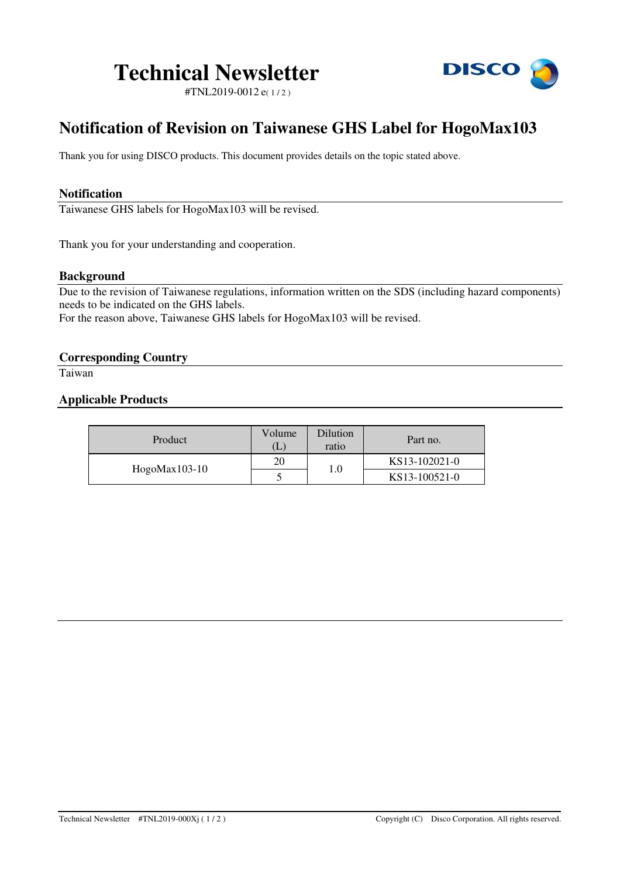# **Technical Newsletter**

**DISCO** 

#TNL2019-0012 e( 1 / 2 )

# **Notification of Revision on Taiwanese GHS Label for HogoMax103**

Thank you for using DISCO products. This document provides details on the topic stated above.

# **Notification**

Taiwanese GHS labels for HogoMax103 will be revised.

Thank you for your understanding and cooperation.

# **Background**

Due to the revision of Taiwanese regulations, information written on the SDS (including hazard components) needs to be indicated on the GHS labels.

For the reason above, Taiwanese GHS labels for HogoMax103 will be revised.

# **Corresponding Country**

Taiwan

# **Applicable Products**

| Product         | Volume<br>$\lfloor \cdot \rfloor$ | Dilution<br>ratio | Part no.      |
|-----------------|-----------------------------------|-------------------|---------------|
| $Hogolax103-10$ | 20                                | $1.0\,$           | KS13-102021-0 |
|                 |                                   |                   | KS13-100521-0 |